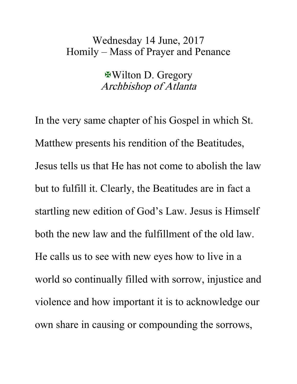## Wednesday 14 June, 2017 Homily – Mass of Prayer and Penance

Wilton D. Gregory Archbishop of Atlanta

In the very same chapter of his Gospel in which St. Matthew presents his rendition of the Beatitudes, Jesus tells us that He has not come to abolish the law but to fulfill it. Clearly, the Beatitudes are in fact a startling new edition of God's Law. Jesus is Himself both the new law and the fulfillment of the old law. He calls us to see with new eyes how to live in a world so continually filled with sorrow, injustice and violence and how important it is to acknowledge our own share in causing or compounding the sorrows,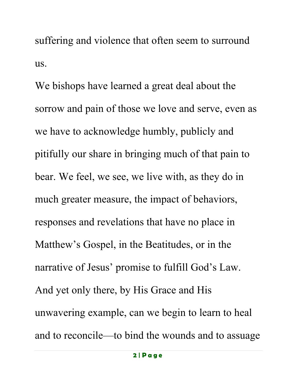suffering and violence that often seem to surround us.

We bishops have learned a great deal about the sorrow and pain of those we love and serve, even as we have to acknowledge humbly, publicly and pitifully our share in bringing much of that pain to bear. We feel, we see, we live with, as they do in much greater measure, the impact of behaviors, responses and revelations that have no place in Matthew's Gospel, in the Beatitudes, or in the narrative of Jesus' promise to fulfill God's Law. And yet only there, by His Grace and His unwavering example, can we begin to learn to heal and to reconcile—to bind the wounds and to assuage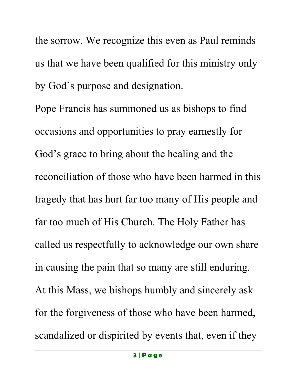the sorrow. We recognize this even as Paul reminds us that we have been qualified for this ministry only by God's purpose and designation.

Pope Francis has summoned us as bishops to find occasions and opportunities to pray earnestly for God's grace to bring about the healing and the reconciliation of those who have been harmed in this tragedy that has hurt far too many of His people and far too much of His Church. The Holy Father has called us respectfully to acknowledge our own share in causing the pain that so many are still enduring. At this Mass, we bishops humbly and sincerely ask for the forgiveness of those who have been harmed, scandalized or dispirited by events that, even if they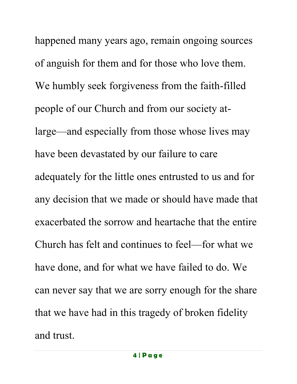happened many years ago, remain ongoing sources of anguish for them and for those who love them. We humbly seek forgiveness from the faith-filled people of our Church and from our society atlarge—and especially from those whose lives may have been devastated by our failure to care adequately for the little ones entrusted to us and for any decision that we made or should have made that exacerbated the sorrow and heartache that the entire Church has felt and continues to feel—for what we have done, and for what we have failed to do. We can never say that we are sorry enough for the share that we have had in this tragedy of broken fidelity and trust.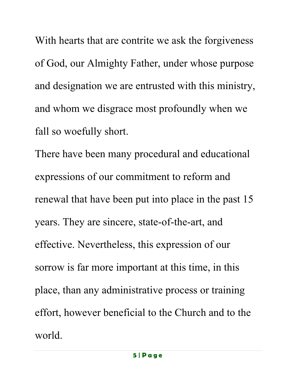With hearts that are contrite we ask the forgiveness of God, our Almighty Father, under whose purpose and designation we are entrusted with this ministry, and whom we disgrace most profoundly when we fall so woefully short.

There have been many procedural and educational expressions of our commitment to reform and renewal that have been put into place in the past 15 years. They are sincere, state-of-the-art, and effective. Nevertheless, this expression of our sorrow is far more important at this time, in this place, than any administrative process or training effort, however beneficial to the Church and to the world.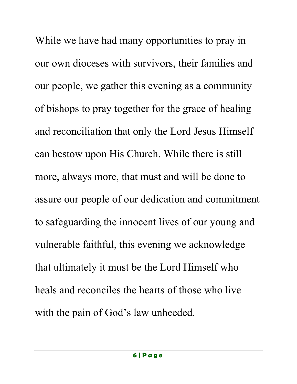While we have had many opportunities to pray in our own dioceses with survivors, their families and our people, we gather this evening as a community of bishops to pray together for the grace of healing and reconciliation that only the Lord Jesus Himself can bestow upon His Church. While there is still more, always more, that must and will be done to assure our people of our dedication and commitment to safeguarding the innocent lives of our young and vulnerable faithful, this evening we acknowledge that ultimately it must be the Lord Himself who heals and reconciles the hearts of those who live with the pain of God's law unheeded.